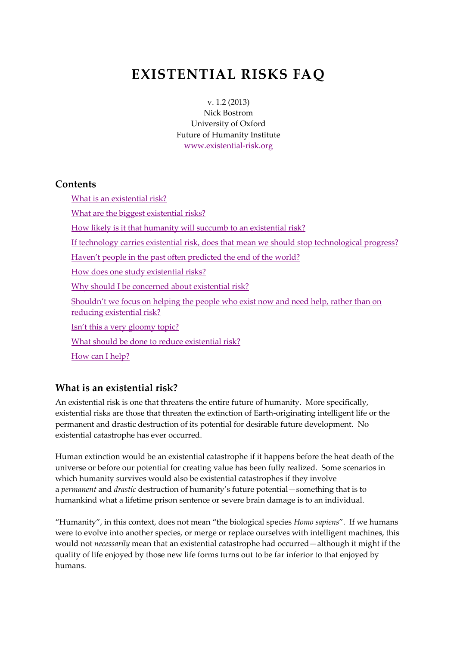# **EXISTENTIAL RISKS FAQ**

v. 1.2 (2013) Nick Bostrom University of Oxford Future of Humanity Institute [www.existential-risk.org](http://www.existential-risk.org/)

#### **Contents**

[What is an existential risk?](http://www.existential-risk.org/faq.html#_Toc321962092) [What are the biggest existential risks?](http://www.existential-risk.org/faq.html#_Toc321962093) [How likely is it that humanity will succumb to an existential risk?](http://www.existential-risk.org/faq.html#_Toc321962094) [If technology carries existential risk, does that mean we should stop technological progress?](http://www.existential-risk.org/faq.html#_Toc321962095) [Haven't people in the past often predicted the end of the world?](http://www.existential-risk.org/faq.html#_Toc321962096) [How does one study existential risks?](http://www.existential-risk.org/faq.html#_Toc321962097) [Why should I be concerned about existential risk?](http://www.existential-risk.org/faq.html#_Toc321962098) Shouldn't we focus on helping the [people who exist now and need help, rather than on](http://www.existential-risk.org/faq.html#_Toc321962099)  [reducing existential risk?](http://www.existential-risk.org/faq.html#_Toc321962099) [Isn't this a very gloomy topic?](http://www.existential-risk.org/faq.html#_Toc321962100) [What should be done to reduce existential risk?](http://www.existential-risk.org/faq.html#_Toc321962101) [How can I help?](http://www.existential-risk.org/faq.html#_Toc321962102)

#### **What is an existential risk?**

An existential risk is one that threatens the entire future of humanity. More specifically, existential risks are those that threaten the extinction of Earth-originating intelligent life or the permanent and drastic destruction of its potential for desirable future development. No existential catastrophe has ever occurred.

Human extinction would be an existential catastrophe if it happens before the heat death of the universe or before our potential for creating value has been fully realized. Some scenarios in which humanity survives would also be existential catastrophes if they involve a *permanent* and *drastic* destruction of humanity's future potential—something that is to humankind what a lifetime prison sentence or severe brain damage is to an individual.

"Humanity", in this context, does not mean "the biological species *Homo sapiens*". If we humans were to evolve into another species, or merge or replace ourselves with intelligent machines, this would not *necessarily* mean that an existential catastrophe had occurred—although it might if the quality of life enjoyed by those new life forms turns out to be far inferior to that enjoyed by humans.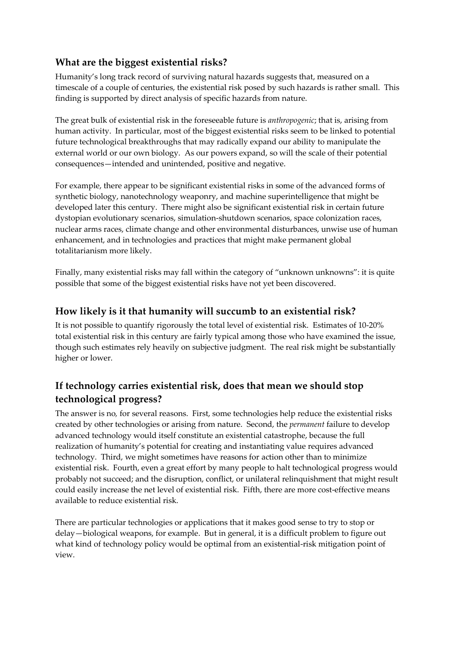### **What are the biggest existential risks?**

Humanity's long track record of surviving natural hazards suggests that, measured on a timescale of a couple of centuries, the existential risk posed by such hazards is rather small. This finding is supported by direct analysis of specific hazards from nature.

The great bulk of existential risk in the foreseeable future is *anthropogenic*; that is, arising from human activity. In particular, most of the biggest existential risks seem to be linked to potential future technological breakthroughs that may radically expand our ability to manipulate the external world or our own biology. As our powers expand, so will the scale of their potential consequences—intended and unintended, positive and negative.

For example, there appear to be significant existential risks in some of the advanced forms of synthetic biology, nanotechnology weaponry, and machine superintelligence that might be developed later this century. There might also be significant existential risk in certain future dystopian evolutionary scenarios, simulation-shutdown scenarios, space colonization races, nuclear arms races, climate change and other environmental disturbances, unwise use of human enhancement, and in technologies and practices that might make permanent global totalitarianism more likely.

Finally, many existential risks may fall within the category of "unknown unknowns": it is quite possible that some of the biggest existential risks have not yet been discovered.

#### **How likely is it that humanity will succumb to an existential risk?**

It is not possible to quantify rigorously the total level of existential risk. Estimates of 10-20% total existential risk in this century are fairly typical among those who have examined the issue, though such estimates rely heavily on subjective judgment. The real risk might be substantially higher or lower.

# **If technology carries existential risk, does that mean we should stop technological progress?**

The answer is no*,* for several reasons. First, some technologies help reduce the existential risks created by other technologies or arising from nature. Second, the *permanent* failure to develop advanced technology would itself constitute an existential catastrophe, because the full realization of humanity's potential for creating and instantiating value requires advanced technology. Third, we might sometimes have reasons for action other than to minimize existential risk. Fourth, even a great effort by many people to halt technological progress would probably not succeed; and the disruption, conflict, or unilateral relinquishment that might result could easily increase the net level of existential risk. Fifth, there are more cost-effective means available to reduce existential risk.

There are particular technologies or applications that it makes good sense to try to stop or delay—biological weapons, for example. But in general, it is a difficult problem to figure out what kind of technology policy would be optimal from an existential-risk mitigation point of view.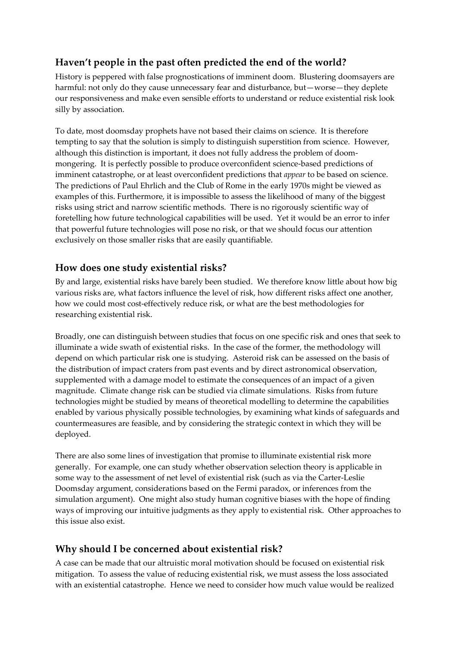# **Haven't people in the past often predicted the end of the world?**

History is peppered with false prognostications of imminent doom. Blustering doomsayers are harmful: not only do they cause unnecessary fear and disturbance, but—worse—they deplete our responsiveness and make even sensible efforts to understand or reduce existential risk look silly by association.

To date, most doomsday prophets have not based their claims on science. It is therefore tempting to say that the solution is simply to distinguish superstition from science. However, although this distinction is important, it does not fully address the problem of doommongering. It is perfectly possible to produce overconfident science-based predictions of imminent catastrophe, or at least overconfident predictions that *appear* to be based on science. The predictions of [Paul Ehrlich](http://en.wikipedia.org/wiki/Paul_R._Ehrlich) and the [Club of Rome](http://www.clubofrome.org/) in the early 1970s might be viewed as examples of this. Furthermore, it is impossible to assess the likelihood of many of the biggest risks using strict and narrow scientific methods. There is no rigorously scientific way of foretelling how future technological capabilities will be used. Yet it would be an error to infer that powerful future technologies will pose no risk, or that we should focus our attention exclusively on those smaller risks that are easily quantifiable.

#### **How does one study existential risks?**

By and large, existential risks have barely been studied. We therefore know little about how big various risks are, what factors influence the level of risk, how different risks affect one another, how we could most cost-effectively reduce risk, or what are the best methodologies for researching existential risk.

Broadly, one can distinguish between studies that focus on one specific risk and ones that seek to illuminate a wide swath of existential risks. In the case of the former, the methodology will depend on which particular risk one is studying. Asteroid risk can be assessed on the basis of the distribution of impact craters from past events and by direct astronomical observation, supplemented with a damage model to estimate the consequences of an impact of a given magnitude. Climate change risk can be studied via climate simulations. Risks from future technologies might be studied by means of theoretical modelling to determine the capabilities enabled by various physically possible technologies, by examining what kinds of safeguards and countermeasures are feasible, and by considering the strategic context in which they will be deployed.

There are also some lines of investigation that promise to illuminate existential risk more generally. For example, one can study whether observation selection theory is applicable in some way to the assessment of net level of existential risk (such as via the Carter-Leslie Doomsday argument, considerations based on the Fermi paradox, or inferences from the simulation argument). One might also study human cognitive biases with the hope of finding ways of improving our intuitive judgments as they apply to existential risk. Other approaches to this issue also exist.

#### **Why should I be concerned about existential risk?**

A case can be made that our altruistic moral motivation should be focused on existential risk mitigation. To assess the value of reducing existential risk, we must assess the loss associated with an existential catastrophe. Hence we need to consider how much value would be realized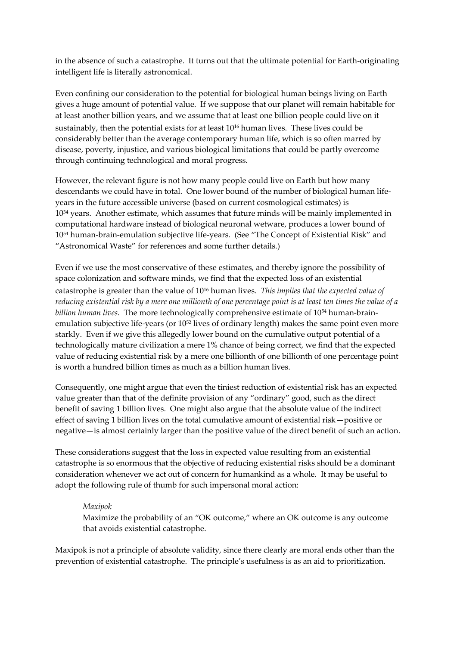in the absence of such a catastrophe. It turns out that the ultimate potential for Earth-originating intelligent life is literally astronomical.

Even confining our consideration to the potential for biological human beings living on Earth gives a huge amount of potential value. If we suppose that our planet will remain habitable for at least another billion years, and we assume that at least one billion people could live on it sustainably, then the potential exists for at least 10<sup>1</sup><sup>6</sup> human lives. These lives could be considerably better than the average contemporary human life, which is so often marred by disease, poverty, injustice, and various biological limitations that could be partly overcome through continuing technological and moral progress.

However, the relevant figure is not how many people could live on Earth but how many descendants we could have in total. One lower bound of the number of biological human lifeyears in the future accessible universe (based on current cosmological estimates) is 10<sup>34</sup> years. Another estimate, which assumes that future minds will be mainly implemented in computational hardware instead of biological neuronal wetware, produces a lower bound of 10<sup>54</sup> human-brain-emulation subjective life-years. (See "[The Concept of Existential Risk](http://www.existentialrisk.com/concept.pdf)" and "[Astronomical Waste](http://www.nickbostrom.com/astronomical/waste.pdf)" for references and some further details.)

Even if we use the most conservative of these estimates, and thereby ignore the possibility of space colonization and software minds, we find that the expected loss of an existential catastrophe is greater than the value of 10<sup>16</sup> human lives. *This implies that the expected value of reducing existential risk by a mere one millionth of one percentage point is at least ten times the value of a billion human lives.* The more technologically comprehensive estimate of 10<sup>54</sup> human-brainemulation subjective life-years (or 10<sup>52</sup> lives of ordinary length) makes the same point even more starkly. Even if we give this allegedly lower bound on the cumulative output potential of a technologically mature civilization a mere 1% chance of being correct, we find that the expected value of reducing existential risk by a mere one billionth of one billionth of one percentage point is worth a hundred billion times as much as a billion human lives.

Consequently, one might argue that even the tiniest reduction of existential risk has an expected value greater than that of the definite provision of any "ordinary" good, such as the direct benefit of saving 1 billion lives. One might also argue that the absolute value of the indirect effect of saving 1 billion lives on the total cumulative amount of existential risk—positive or negative—is almost certainly larger than the positive value of the direct benefit of such an action.

These considerations suggest that the loss in expected value resulting from an existential catastrophe is so enormous that the objective of reducing existential risks should be a dominant consideration whenever we act out of concern for humankind as a whole. It may be useful to adopt the following rule of thumb for such impersonal moral action:

#### *Maxipok*

Maximize the probability of an "OK outcome," where an OK outcome is any outcome that avoids existential catastrophe.

Maxipok is not a principle of absolute validity, since there clearly are moral ends other than the prevention of existential catastrophe. The principle's usefulness is as an aid to prioritization.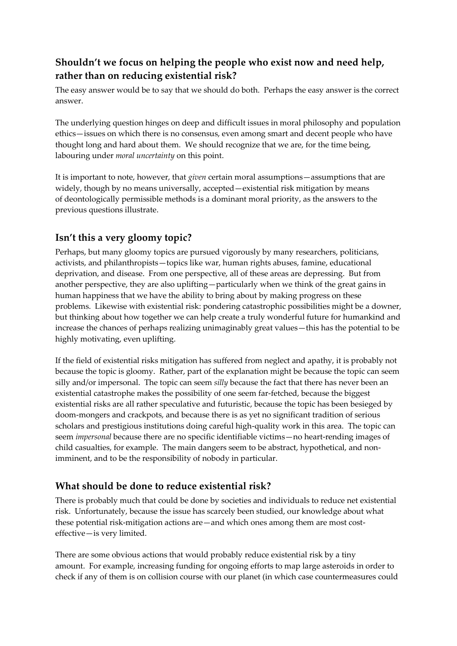# **Shouldn't we focus on helping the people who exist now and need help, rather than on reducing existential risk?**

The easy answer would be to say that we should do both. Perhaps the easy answer is the correct answer.

The underlying question hinges on deep and difficult issues in moral philosophy and population ethics—issues on which there is no consensus, even among smart and decent people who have thought long and hard about them. We should recognize that we are, for the time being, labouring under *moral uncertainty* on this point.

It is important to note, however, that *given* certain moral assumptions—assumptions that are widely, though by no means universally, accepted—existential risk mitigation by means of deontologically permissible methods is a dominant moral priority, as the answers to the previous questions illustrate.

### **Isn't this a very gloomy topic?**

Perhaps, but many gloomy topics are pursued vigorously by many researchers, politicians, activists, and philanthropists—topics like war, human rights abuses, famine, educational deprivation, and disease. From one perspective, all of these areas are depressing. But from another perspective, they are also uplifting—particularly when we think of the great gains in human happiness that we have the ability to bring about by making progress on these problems. Likewise with existential risk: pondering catastrophic possibilities might be a downer, but thinking about how together we can help create a truly wonderful future for humankind and increase the chances of perhaps realizing unimaginably great values—this has the potential to be highly motivating, even uplifting.

If the field of existential risks mitigation has suffered from neglect and apathy, it is probably not because the topic is gloomy. Rather, part of the explanation might be because the topic can seem silly and/or impersonal. The topic can seem *silly* because the fact that there has never been an existential catastrophe makes the possibility of one seem far-fetched, because the biggest existential risks are all rather speculative and futuristic, because the topic has been besieged by doom-mongers and crackpots, and because there is as yet no significant tradition of serious scholars and prestigious institutions doing careful high-quality work in this area. The topic can seem *impersonal* because there are no specific identifiable victims—no heart-rending images of child casualties, for example. The main dangers seem to be abstract, hypothetical, and nonimminent, and to be the responsibility of nobody in particular.

#### **What should be done to reduce existential risk?**

There is probably much that could be done by societies and individuals to reduce net existential risk. Unfortunately, because the issue has scarcely been studied, our knowledge about what these potential risk-mitigation actions are—and which ones among them are most costeffective—is very limited.

There are some obvious actions that would probably reduce existential risk by a tiny amount. For example, increasing funding for ongoing efforts to map large asteroids in order to check if any of them is on collision course with our planet (in which case countermeasures could